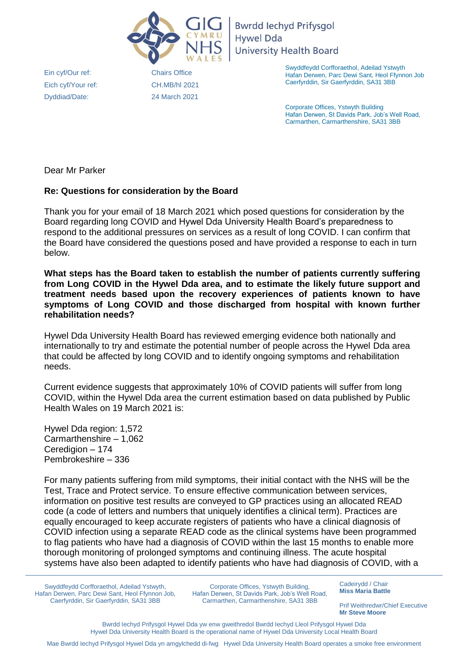

**Bwrdd lechyd Prifysgol Hywel Dda University Health Board** 

Ein cyf/Our ref: Eich cyf/Your ref: Dyddiad/Date:

Chairs Office CH.MB/hl 2021 24 [March 2021](mailto:Habiba.lewis@wales.nhs.uk)  Swyddfeydd Corfforaethol, Adeilad Ystwyth Hafan Derwen, Parc Dewi Sant, Heol Ffynnon Job Caerfyrddin, Sir Gaerfyrddin, SA31 3BB

Corporate Offices, Ystwyth Building Hafan Derwen, St Davids Park, Job's Well Road, Carmarthen, Carmarthenshire, SA31 3BB

Dear Mr Parker

## **Re: Questions for consideration by the Board**

Thank you for your email of 18 March 2021 which posed questions for consideration by the Board regarding long COVID and Hywel Dda University Health Board's preparedness to respond to the additional pressures on services as a result of long COVID. I can confirm that the Board have considered the questions posed and have provided a response to each in turn below.

**What steps has the Board taken to establish the number of patients currently suffering from Long COVID in the Hywel Dda area, and to estimate the likely future support and treatment needs based upon the recovery experiences of patients known to have symptoms of Long COVID and those discharged from hospital with known further rehabilitation needs?**

Hywel Dda University Health Board has reviewed emerging evidence both nationally and internationally to try and estimate the potential number of people across the Hywel Dda area that could be affected by long COVID and to identify ongoing symptoms and rehabilitation needs.

Current evidence suggests that approximately 10% of COVID patients will suffer from long COVID, within the Hywel Dda area the current estimation based on data published by Public Health Wales on 19 March 2021 is:

Hywel Dda region: 1,572 Carmarthenshire – 1,062 Ceredigion – 174 Pembrokeshire – 336

For many patients suffering from mild symptoms, their initial contact with the NHS will be the Test, Trace and Protect service. To ensure effective communication between services, information on positive test results are conveyed to GP practices using an allocated READ code (a code of letters and numbers that uniquely identifies a clinical term). Practices are equally encouraged to keep accurate registers of patients who have a clinical diagnosis of COVID infection using a separate READ code as the clinical systems have been programmed to flag patients who have had a diagnosis of COVID within the last 15 months to enable more thorough monitoring of prolonged symptoms and continuing illness. The acute hospital systems have also been adapted to identify patients who have had diagnosis of COVID, with a

Swyddfeydd Corfforaethol, Adeilad Ystwyth, Hafan Derwen, Parc Dewi Sant, Heol Ffynnon Job, Caerfyrddin, Sir Gaerfyrddin, SA31 3BB

Corporate Offices, Ystwyth Building, Hafan Derwen, St Davids Park, Job's Well Road, Carmarthen, Carmarthenshire, SA31 3BB

Cadeirydd / Chair **Miss Maria Battle** 

Prif Weithredwr/Chief Executive **Mr Steve Moore**

Bwrdd Iechyd Prifysgol Hywel Dda yw enw gweithredol Bwrdd Iechyd Lleol Prifysgol Hywel Dda Hywel Dda University Health Board is the operational name of Hywel Dda University Local Health Board

Mae Bwrdd Iechyd Prifysgol Hywel Dda yn amgylchedd di-fwg Hywel Dda University Health Board operates a smoke free environment